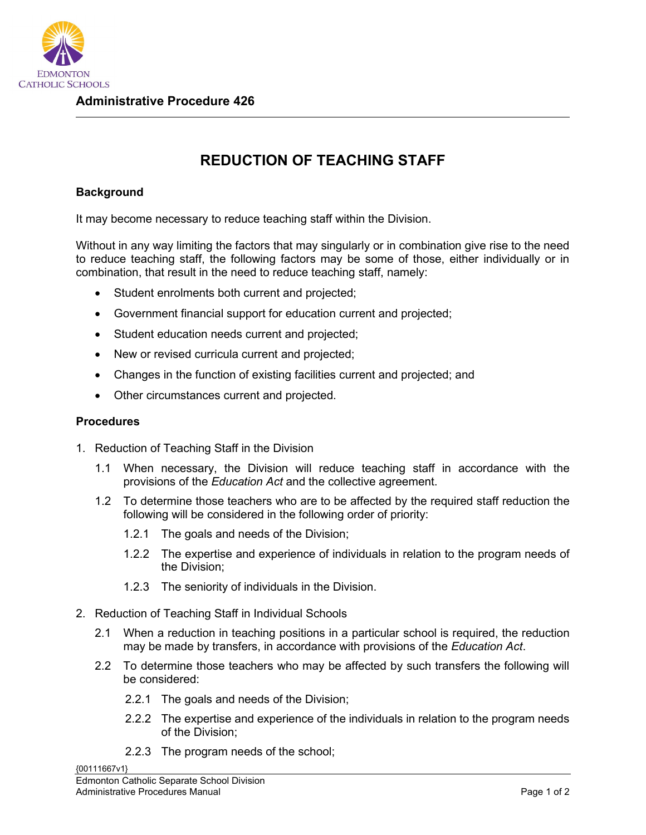

## **REDUCTION OF TEACHING STAFF**

## **Background**

It may become necessary to reduce teaching staff within the Division.

Without in any way limiting the factors that may singularly or in combination give rise to the need to reduce teaching staff, the following factors may be some of those, either individually or in combination, that result in the need to reduce teaching staff, namely:

- Student enrolments both current and projected;
- Government financial support for education current and projected;
- Student education needs current and projected;
- New or revised curricula current and projected;
- Changes in the function of existing facilities current and projected; and
- Other circumstances current and projected.

## **Procedures**

- 1. Reduction of Teaching Staff in the Division
	- 1.1 When necessary, the Division will reduce teaching staff in accordance with the provisions of the *Education Act* and the collective agreement.
	- 1.2 To determine those teachers who are to be affected by the required staff reduction the following will be considered in the following order of priority:
		- 1.2.1 The goals and needs of the Division;
		- 1.2.2 The expertise and experience of individuals in relation to the program needs of the Division;
		- 1.2.3 The seniority of individuals in the Division.
- 2. Reduction of Teaching Staff in Individual Schools
	- 2.1 When a reduction in teaching positions in a particular school is required, the reduction may be made by transfers, in accordance with provisions of the *Education Act*.
	- 2.2 To determine those teachers who may be affected by such transfers the following will be considered:
		- 2.2.1 The goals and needs of the Division;
		- 2.2.2 The expertise and experience of the individuals in relation to the program needs of the Division;
		- 2.2.3 The program needs of the school;

{00111667v1}